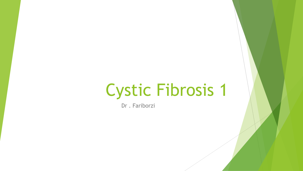# Cystic Fibrosis 1

Dr . Fariborzi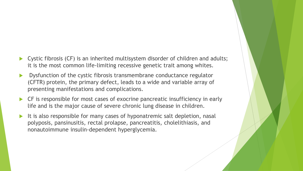- Cystic fibrosis (CF) is an inherited multisystem disorder of children and adults; it is the most common life-limiting recessive genetic trait among whites.
- Dysfunction of the cystic fibrosis transmembrane conductance regulator (CFTR) protein, the primary defect, leads to a wide and variable array of presenting manifestations and complications.
- CF is responsible for most cases of exocrine pancreatic insufficiency in early life and is the major cause of severe chronic lung disease in children.
- It is also responsible for many cases of hyponatremic salt depletion, nasal polyposis, pansinusitis, rectal prolapse, pancreatitis, cholelithiasis, and nonautoimmune insulin-dependent hyperglycemia.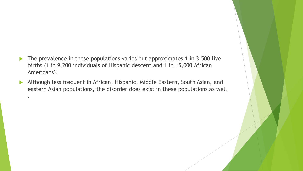- The prevalence in these populations varies but approximates 1 in  $3,500$  live births (1 in 9,200 individuals of Hispanic descent and 1 in 15,000 African Americans).
- Although less frequent in African, Hispanic, Middle Eastern, South Asian, and eastern Asian populations, the disorder does exist in these populations as well

.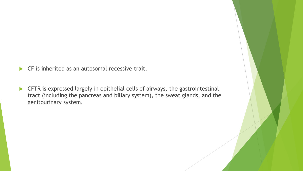- ▶ CF is inherited as an autosomal recessive trait.
- CFTR is expressed largely in epithelial cells of airways, the gastrointestinal tract (including the pancreas and biliary system), the sweat glands, and the genitourinary system.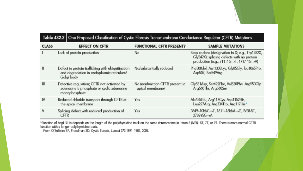|              |                            | Table 432.2   One Proposed Classification of Cystic Fibrosis Transmembrane Conductance Regulator (CFTR) Mutations |                                                     |                                                                                                                                        |  |  |  |  |
|--------------|----------------------------|-------------------------------------------------------------------------------------------------------------------|-----------------------------------------------------|----------------------------------------------------------------------------------------------------------------------------------------|--|--|--|--|
| <b>CLASS</b> |                            | <b>EFFECT ON CFTR</b>                                                                                             | <b>FUNCTIONAL CFTR PRESENT?</b>                     | <b>SAMPLE MUTATIONS</b>                                                                                                                |  |  |  |  |
|              | Lack of protein production |                                                                                                                   | No                                                  | Stop codons (designation in X; e.g., Trp1282X,<br>Gly542X); splicing defects with no protein<br>production (e.g., 711+1G→T, 1717-1G→A) |  |  |  |  |
| Ш            |                            | Defect in protein trafficking with ubiquitination<br>and degradation in endoplasmic reticulum/<br>Golgi body      | No/substantially reduced                            | Phe508del, Asn1303Lys, Gly85Gly, leu1065Pro,<br>Asp507, Ser549Arg                                                                      |  |  |  |  |
| Ш            |                            | Defective regulation; CFTR not activated by<br>adenosine triphosphate or cyclic adenosine<br>monophosphate        | No (nonfunction CFTR present in<br>apical membrane) | Gly551Asp, Ser492Phe, Val520Phe, Arg553Gly,<br>Arg560Thr, Arg560Ser                                                                    |  |  |  |  |
| $\mathbb N$  |                            | Reduced chloride transport through CFTR at<br>the apical membrane                                                 | Yes                                                 | Ala455Glu, Arg117Cys, Asp1152His,<br>Leu227Arg, Arg334Trp, Arg117His*                                                                  |  |  |  |  |
| V            | <b>CFTR</b>                | Splicing defect with reduced production of                                                                        | Yes                                                 | 3849+10kbC→T, 1811+16kbA→G, IVS8-5T,<br>$2789+5G \rightarrow A$                                                                        |  |  |  |  |

\*Function of Arg117His depends on the length of the polythymidine track on the same chromosome in intron 8 (IVS8): 5T, 7T, or 9T. There is more normal CFTR<br>function with a longer polythymidine track.<br>From O'Sullivan BP, Fr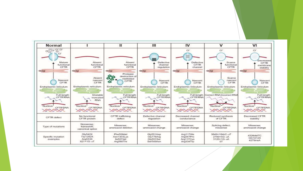| Normal                                                 |                                                                     | н                                                                | Ш                                                      | IV                                                | v                                                              | VI                                                     |
|--------------------------------------------------------|---------------------------------------------------------------------|------------------------------------------------------------------|--------------------------------------------------------|---------------------------------------------------|----------------------------------------------------------------|--------------------------------------------------------|
| cicler or or<br><b>CT</b>                              |                                                                     |                                                                  |                                                        | CГ<br>$-$<br>≕                                    | СF                                                             | CT                                                     |
| Mature<br>functional<br>CFTR                           | Absent<br>functional<br>CFTR                                        | Absent<br>functional<br>CFTR                                     | Defective<br>channel<br>regulation                     | Defective<br>CFTR<br>channel                      | Scarce<br>functional<br>CFTR                                   | Decreased<br>CFTR<br>membrane<br>stability             |
| Goldi<br>Nascent<br><b>CFTR</b>                        | Golgi<br>Absent<br>nascent<br>CFTR                                  | Golai-<br>Protease<br>destruction of<br>misfolded<br>CFTR.<br>43 | Golgi<br>Nascent<br>CFTR                               | Galai<br>Nascent<br>CFTR                          | Golgi<br>Scarce<br>nascent<br>CFTR                             | Goldi<br>Nascent<br>CFTR                               |
| Endoplasmic reticulum<br>Full-length<br><b>CFTRRNA</b> | Endoplasmic reticulum<br><b>Unstable</b><br>truncated<br><b>RNA</b> | Endoplasmic reticulum<br>Full-kingth<br><b>CFTRRNA</b>           | Endoplasmic reticulum<br>Full-length<br><b>CFTRRNA</b> | Endoplasmic reticulum<br><b>CFTRRNA</b>           | Endoplasmic reticulum<br>Full-length Correct RNA Incorrect RNA | Endoplasmic reticulum<br>Full-length<br><b>CFTRRNA</b> |
| <b>Nucleus</b><br><b>CETRIDNA</b><br><b>NOOOOK</b>     | Nucleus <sup>'</sup><br><b>CETRIDNA</b><br><b>SOOOO</b>             | <b>Nucleus</b><br><b>CFTRDNA</b><br>⋙∞                           | <b>Nucleus</b><br><b>CETRIDNA</b><br><b>DOOOOK</b>     | <b>Nucleus</b><br><b>CFTRDNA</b><br><b>SOOOOK</b> | <b>Nucleus</b><br><b>CFTRDNA</b><br><b>SOOOOK</b>              | Nucleus <sup>1</sup><br>CETRONA<br><b>SPOOR</b>        |
| CFTR defect                                            | No functional<br>CFTR protein                                       | CFTR trafficking<br>defect                                       | Defective channel<br>requlation                        | Decreased channel<br>conductance                  | Reduced synthesis<br>of CFTR                                   | Decreased CFTR<br>stability                            |
| Type of mutations                                      | Nonsense:<br>frameshift:<br>canonical splice                        | Missense:<br>aminoacid deletion                                  | Missense:<br>aminoacid change                          | Missense:<br>aminoacid change                     | Splicing defect;<br>missense                                   | Missense:<br>aminoacid change                          |
| Specific mutation<br>examples                          | Gly542X<br>Trp1282X<br>Arg553X<br>621*1G-+T                         | Phe508del<br>Asn1303Lys<br>tle507del<br>Arg560Thr                | Gly551Asp<br>Gly178Arg<br>Gly551Ser<br>Ser549Asn       | Arg117His<br>Arg347Pro<br>Arg117Cys<br>Arg334Trp  | 3849+10kbC-+T<br>2789+5G-sA<br>$3120+1G-A$<br><b>BT</b>        | 4326delTC<br>Gin1412X<br>4279(resA)                    |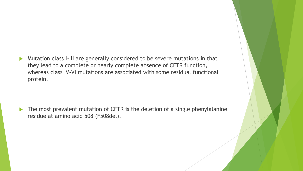Mutation class I-III are generally considered to be severe mutations in that they lead to a complete or nearly complete absence of CFTR function, whereas class IV-VI mutations are associated with some residual functional protein.

The most prevalent mutation of CFTR is the deletion of a single phenylalanine residue at amino acid 508 (F508del).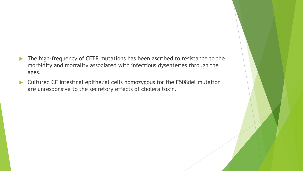- The high-frequency of CFTR mutations has been ascribed to resistance to the morbidity and mortality associated with infectious dysenteries through the ages.
- Cultured CF intestinal epithelial cells homozygous for the F508del mutation are unresponsive to the secretory effects of cholera toxin.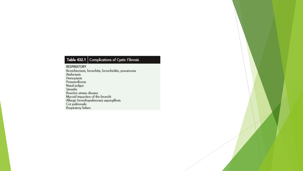### Table 432.1 Complications of Cystic Fibrosis

**RESPIRATORY** Bronchiectasis, bronchitis, bronchiolitis, pneumonia<br>Atelectasis Hemoptysis<br>Pneumothorax<br>Nasal polyps<br>Sinusitis Sinusius<br>Reactive airway disease<br>Mucoid impaction of the bronchi<br>Allergic bronchopulmonary aspergillosis<br>Cor pulmonale<br>Respiratory failure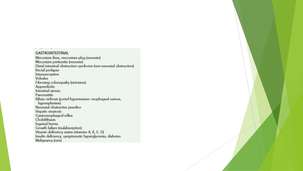#### **GASTROINTESTINAL**

Meconium ileus, meconium plug (neonate) Meconium peritonitis (neonate) Distal intestinal obstruction syndrome (non-neonatal obstruction) Rectal prolapse Intussusception **Volvulus** Fibrosing colonopathy (strictures) **Appendicitis** Intestinal atresia Pancreatitis Biliary cirrhosis (portal hypertension: esophageal varices, hypersplenism)<br>Neonatal obstructive jaundice Hepatic steatosis Gastroesophageal reflux Cholelithiasis Inguinal hernia Growth failure (malabsorption) Vitamin deficiency states (vitamins A, K, E, D) Insulin deficiency, symptomatic hyperglycemia, diabetes Malignancy (rare)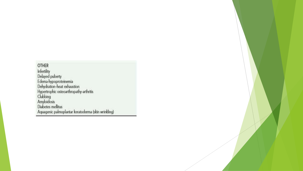### OTHER

OTHER<br>
Infertility<br>
Delayed puberty<br>
Edema-hypoproteinemia<br>
Dehydration-heat exhaustion<br>
Hypertrophic osteoarthropathy-arthritis<br>
Clubbing<br>
Amyloidosis<br>
Diabetes mellitus<br>
Aquagenic palmoplantar keratoderma (skin wrinkling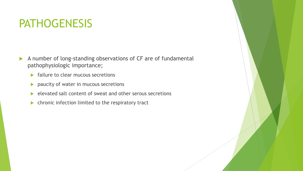# PATHOGENESIS

- A number of long-standing observations of CF are of fundamental pathophysiologic importance;
	- $\blacktriangleright$  failure to clear mucous secretions
	- paucity of water in mucous secretions
	- $\blacktriangleright$  elevated salt content of sweat and other serous secretions
	- $\blacktriangleright$  chronic infection limited to the respiratory tract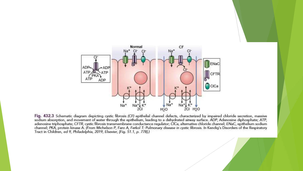

Fig. 432.3 Schematic diagram depicting cystic fibrosis (CF) epithelial channel defects, characterized by impaired chloride secretion, massive sodium absorption, and movement of water through the epithelium, leading to a dehydrated airway surface. ADP, Adenosine diphosphate; ATP, adenosine triphosphate; CFTR, cystic fibrosis transmembrane conductance regulator; CICa, alternative chloride channel; ENaC, epithelium sodium channel; PKA, protein kinase A. (From Michelson P, Faro A, Ferkol T: Pulmonary disease in cystic fibrosis. In Kendig's Disorders of the Respiratory Tract in Children, ed 9, Philadelphia, 2019, Elsevier, [Fig. 51.1, p. 778].)

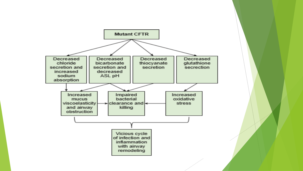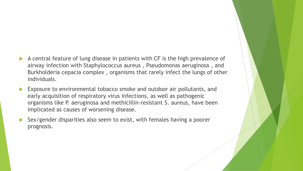- A central feature of lung disease in patients with CF is the high prevalence of airway infection with Staphylococcus aureus , Pseudomonas aeruginosa , and Burkholderia cepacia complex , organisms that rarely infect the lungs of other individuals.
- Exposure to environmental tobacco smoke and outdoor air pollutants, and early acquisition of respiratory virus infections, as well as pathogenic organisms like P. aeruginosa and methicillin-resistant S. aureus, have been implicated as causes of worsening disease.
- Sex/gender disparities also seem to exist, with females having a poorer prognosis.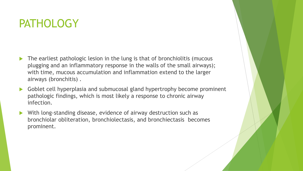# **PATHOLOGY**

- The earliest pathologic lesion in the lung is that of bronchiolitis (mucous plugging and an inflammatory response in the walls of the small airways); with time, mucous accumulation and inflammation extend to the larger airways (bronchitis) .
- Goblet cell hyperplasia and submucosal gland hypertrophy become prominent pathologic findings, which is most likely a response to chronic airway infection.
- With long-standing disease, evidence of airway destruction such as bronchiolar obliteration, bronchiolectasis, and bronchiectasis becomes prominent.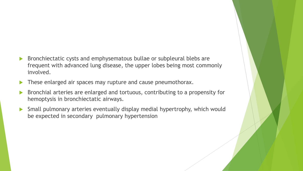- Bronchiectatic cysts and emphysematous bullae or subpleural blebs are frequent with advanced lung disease, the upper lobes being most commonly involved.
- These enlarged air spaces may rupture and cause pneumothorax.
- Bronchial arteries are enlarged and tortuous, contributing to a propensity for hemoptysis in bronchiectatic airways.
- Small pulmonary arteries eventually display medial hypertrophy, which would be expected in secondary pulmonary hypertension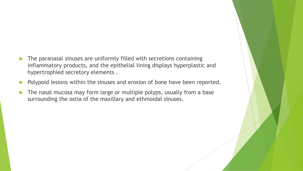- The paranasal sinuses are uniformly filled with secretions containing inflammatory products, and the epithelial lining displays hyperplastic and hypertrophied secretory elements .
- Polypoid lesions within the sinuses and erosion of bone have been reported.
- The nasal mucosa may form large or multiple polyps, usually from a base surrounding the ostia of the maxillary and ethmoidal sinuses.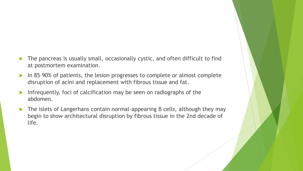- The pancreas is usually small, occasionally cystic, and often difficult to find at postmortem examination.
- ▶ In 85-90% of patients, the lesion progresses to complete or almost complete disruption of acini and replacement with fibrous tissue and fat.
- Infrequently, foci of calcification may be seen on radiographs of the abdomen.
- The islets of Langerhans contain normal-appearing β cells, although they may begin to show architectural disruption by fibrous tissue in the 2nd decade of life.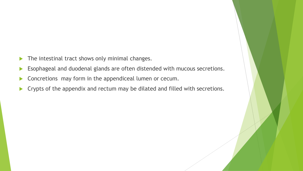- $\blacktriangleright$  The intestinal tract shows only minimal changes.
- Esophageal and duodenal glands are often distended with mucous secretions.
- **Concretions may form in the appendiceal lumen or cecum.**
- **Crypts of the appendix and rectum may be dilated and filled with secretions.**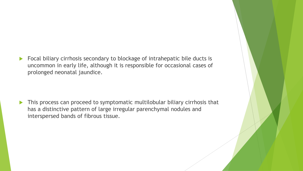Focal biliary cirrhosis secondary to blockage of intrahepatic bile ducts is uncommon in early life, although it is responsible for occasional cases of prolonged neonatal jaundice.

**This process can proceed to symptomatic multilobular biliary cirrhosis that** has a distinctive pattern of large irregular parenchymal nodules and interspersed bands of fibrous tissue.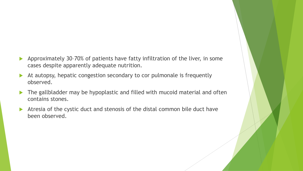- Approximately 30-70% of patients have fatty infiltration of the liver, in some cases despite apparently adequate nutrition.
- At autopsy, hepatic congestion secondary to cor pulmonale is frequently observed.
- ▶ The gallbladder may be hypoplastic and filled with mucoid material and often contains stones.
- Atresia of the cystic duct and stenosis of the distal common bile duct have been observed.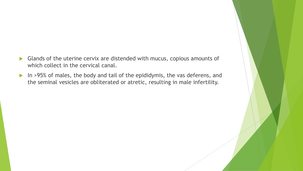- Glands of the uterine cervix are distended with mucus, copious amounts of which collect in the cervical canal.
- In >95% of males, the body and tail of the epididymis, the vas deferens, and the seminal vesicles are obliterated or atretic, resulting in male infertility.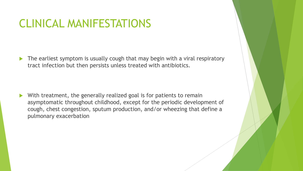# CLINICAL MANIFESTATIONS

▶ The earliest symptom is usually cough that may begin with a viral respiratory tract infection but then persists unless treated with antibiotics.

 With treatment, the generally realized goal is for patients to remain asymptomatic throughout childhood, except for the periodic development of cough, chest congestion, sputum production, and/or wheezing that define a pulmonary exacerbation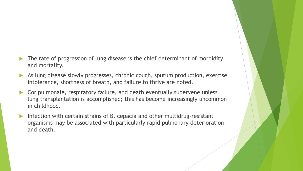- The rate of progression of lung disease is the chief determinant of morbidity and mortality.
- As lung disease slowly progresses, chronic cough, sputum production, exercise intolerance, shortness of breath, and failure to thrive are noted.
- ▶ Cor pulmonale, respiratory failure, and death eventually supervene unless lung transplantation is accomplished; this has become increasingly uncommon in childhood.
- Infection with certain strains of B. cepacia and other multidrug-resistant organisms may be associated with particularly rapid pulmonary deterioration and death.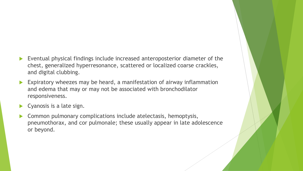- Eventual physical findings include increased anteroposterior diameter of the chest, generalized hyperresonance, scattered or localized coarse crackles, and digital clubbing.
- Expiratory wheezes may be heard, a manifestation of airway inflammation and edema that may or may not be associated with bronchodilator responsiveness.
- Cyanosis is a late sign.
- Common pulmonary complications include atelectasis, hemoptysis, pneumothorax, and cor pulmonale; these usually appear in late adolescence or beyond.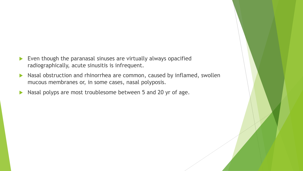- Even though the paranasal sinuses are virtually always opacified radiographically, acute sinusitis is infrequent.
- A Nasal obstruction and rhinorrhea are common, caused by inflamed, swollen mucous membranes or, in some cases, nasal polyposis.
- Nasal polyps are most troublesome between 5 and 20 yr of age.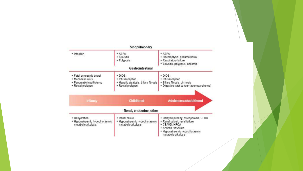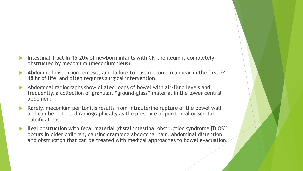- Intestinal Tract In 15–20% of newborn infants with CF, the ileum is completely obstructed by meconium (meconium ileus).
- Abdominal distention, emesis, and failure to pass meconium appear in the first 24- 48 hr of life and often requires surgical intervention.
- Abdominal radiographs show dilated loops of bowel with air-fluid levels and, frequently, a collection of granular, "ground-glass" material in the lower central abdomen.
- Rarely, meconium peritonitis results from intrauterine rupture of the bowel wall and can be detected radiographically as the presence of peritoneal or scrotal calcifications.
- Ileal obstruction with fecal material (distal intestinal obstruction syndrome [DIOS]) occurs in older children, causing cramping abdominal pain, abdominal distention, and obstruction that can be treated with medical approaches to bowel evacuation.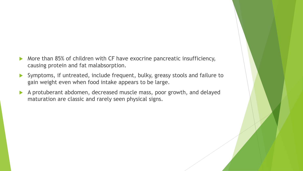- More than 85% of children with CF have exocrine pancreatic insufficiency, causing protein and fat malabsorption.
- Symptoms, if untreated, include frequent, bulky, greasy stools and failure to gain weight even when food intake appears to be large.
- A protuberant abdomen, decreased muscle mass, poor growth, and delayed maturation are classic and rarely seen physical signs.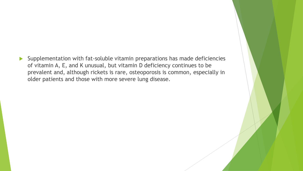Supplementation with fat-soluble vitamin preparations has made deficiencies of vitamin A, E, and K unusual, but vitamin D deficiency continues to be prevalent and, although rickets is rare, osteoporosis is common, especially in older patients and those with more severe lung disease.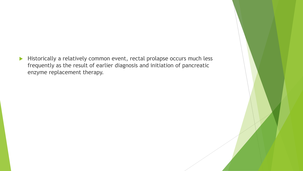Historically a relatively common event, rectal prolapse occurs much less frequently as the result of earlier diagnosis and initiation of pancreatic enzyme replacement therapy.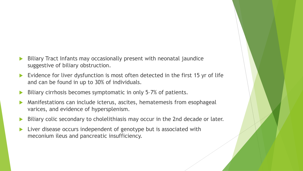- Biliary Tract Infants may occasionally present with neonatal jaundice suggestive of biliary obstruction.
- Evidence for liver dysfunction is most often detected in the first 15 yr of life and can be found in up to 30% of individuals.
- Biliary cirrhosis becomes symptomatic in only 5–7% of patients.
- Manifestations can include icterus, ascites, hematemesis from esophageal varices, and evidence of hypersplenism.
- Biliary colic secondary to cholelithiasis may occur in the 2nd decade or later.
- **Liver disease occurs independent of genotype but is associated with** meconium ileus and pancreatic insufficiency.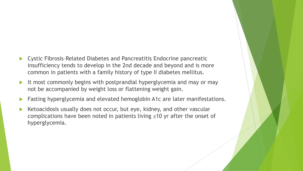- Cystic Fibrosis–Related Diabetes and Pancreatitis Endocrine pancreatic insufficiency tends to develop in the 2nd decade and beyond and is more common in patients with a family history of type II diabetes mellitus.
- It most commonly begins with postprandial hyperglycemia and may or may not be accompanied by weight loss or flattening weight gain.
- Fasting hyperglycemia and elevated hemoglobin A1c are later manifestations.
- Ketoacidosis usually does not occur, but eye, kidney, and other vascular complications have been noted in patients living ≥10 yr after the onset of hyperglycemia.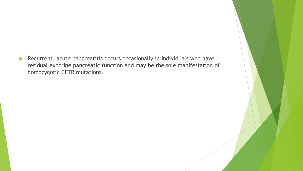Recurrent, acute pancreatitis occurs occasionally in individuals who have residual exocrine pancreatic function and may be the sole manifestation of homozygotic CFTR mutations.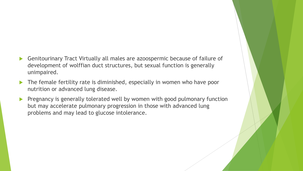- Genitourinary Tract Virtually all males are azoospermic because of failure of development of wolffian duct structures, but sexual function is generally unimpaired.
- The female fertility rate is diminished, especially in women who have poor nutrition or advanced lung disease.
- **Pregnancy is generally tolerated well by women with good pulmonary function** but may accelerate pulmonary progression in those with advanced lung problems and may lead to glucose intolerance.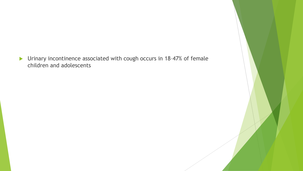▶ Urinary incontinence associated with cough occurs in 18-47% of female children and adolescents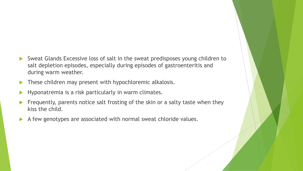- Sweat Glands Excessive loss of salt in the sweat predisposes young children to salt depletion episodes, especially during episodes of gastroenteritis and during warm weather.
- These children may present with hypochloremic alkalosis.
- Hyponatremia is a risk particularly in warm climates.
- Frequently, parents notice salt frosting of the skin or a salty taste when they kiss the child.
- A few genotypes are associated with normal sweat chloride values.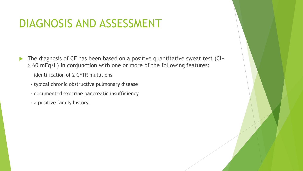# DIAGNOSIS AND ASSESSMENT

 The diagnosis of CF has been based on a positive quantitative sweat test (Cl− ≥ 60 mEq/L) in conjunction with one or more of the following features:

- identification of 2 CFTR mutations
- typical chronic obstructive pulmonary disease
- documented exocrine pancreatic insufficiency
- a positive family history.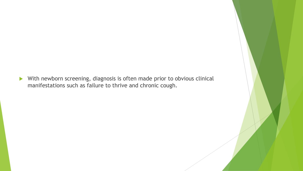With newborn screening, diagnosis is often made prior to obvious clinical manifestations such as failure to thrive and chronic cough.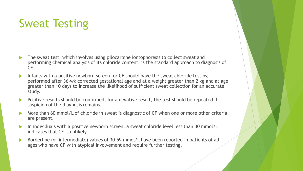# Sweat Testing

- The sweat test, which involves using pilocarpine iontophoresis to collect sweat and performing chemical analysis of its chloride content, is the standard approach to diagnosis of CF.
- **Infants with a positive newborn screen for CF should have the sweat chloride testing** performed after 36-wk corrected gestational age and at a weight greater than 2 kg and at age greater than 10 days to increase the likelihood of sufficient sweat collection for an accurate study.
- Positive results should be confirmed; for a negative result, the test should be repeated if suspicion of the diagnosis remains.
- More than 60 mmol/L of chloride in sweat is diagnostic of CF when one or more other criteria are present.
- In individuals with a positive newborn screen, a sweat chloride level less than 30 mmol/L indicates that CF is unlikely.
- Borderline (or intermediate) values of 30-59 mmol/L have been reported in patients of all ages who have CF with atypical involvement and require further testing.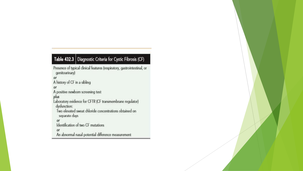### Table 432.3 Diagnostic Criteria for Cystic Fibrosis (CF)

Presence of typical clinical features (respiratory, gastrointestinal, or genitourinary) or

A history of CF in a sibling

or

A positive newborn screening test

plus

Laboratory evidence for CFTR (CF transmembrane regulator) dysfunction:

Two elevated sweat chloride concentrations obtained on separate days

 $or$ 

Identification of two CF mutations or

An abnormal nasal potential difference measurement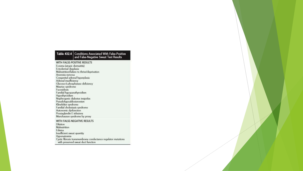### Table 432.4 Conditions Associated With False-Positive<br>and False-Negative Sweat Test Results

WITH FALSE-POSITIVE RESULTS

Eczema (atopic dermatitis)<br>Ectodermal dysplasia<br>Malnutrition/failure to thrive/deprivation Anorexia nervosa Congenital adrenal hyperplasia<br>Adrenal insufficiency<br>Glucose 6-phosphatase deficiency Mauriac syndrome Fucosidosis Familial hypoparathyroidism Hypothyroidism Nephrogenic diabetes insipidus<br>Pseudohypoaldosteronism Klinefelter syndrome<br>Familial cholestasis syndrome Autonomic dysfunction Prostaglandin E infusions Munchausen syndrome by proxy

WITH FALSE-NEGATIVE RESULTS **Dilution** Malnutrition Edema Insufficient sweat quantity Hyponatremia Cystic fibrosis transmembrane conductance regulator mutations<br>with preserved sweat duct function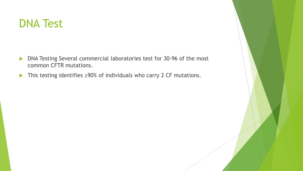# DNA Test

- DNA Testing Several commercial laboratories test for 30-96 of the most common CFTR mutations.
- This testing identifies ≥90% of individuals who carry 2 CF mutations.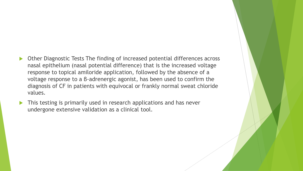- Other Diagnostic Tests The finding of increased potential differences across nasal epithelium (nasal potential difference) that is the increased voltage response to topical amiloride application, followed by the absence of a voltage response to a β-adrenergic agonist, has been used to confirm the diagnosis of CF in patients with equivocal or frankly normal sweat chloride values.
- **This testing is primarily used in research applications and has never** undergone extensive validation as a clinical tool.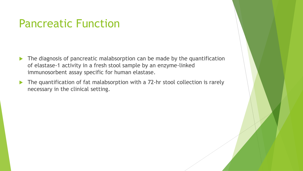### Pancreatic Function

- The diagnosis of pancreatic malabsorption can be made by the quantification of elastase-1 activity in a fresh stool sample by an enzyme-linked immunosorbent assay specific for human elastase.
- ▶ The quantification of fat malabsorption with a 72-hr stool collection is rarely necessary in the clinical setting.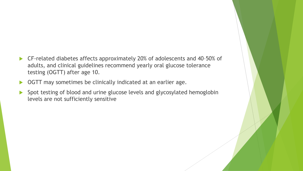- CF-related diabetes affects approximately 20% of adolescents and 40–50% of adults, and clinical guidelines recommend yearly oral glucose tolerance testing (OGTT) after age 10.
- ▶ OGTT may sometimes be clinically indicated at an earlier age.
- Spot testing of blood and urine glucose levels and glycosylated hemoglobin levels are not sufficiently sensitive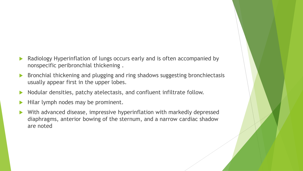- Radiology Hyperinflation of lungs occurs early and is often accompanied by nonspecific peribronchial thickening .
- **Bronchial thickening and plugging and ring shadows suggesting bronchiectasis** usually appear first in the upper lobes.
- Nodular densities, patchy atelectasis, and confluent infiltrate follow.
- Hilar lymph nodes may be prominent.
- With advanced disease, impressive hyperinflation with markedly depressed diaphragms, anterior bowing of the sternum, and a narrow cardiac shadow are noted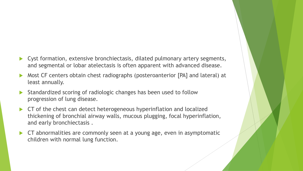- Cyst formation, extensive bronchiectasis, dilated pulmonary artery segments, and segmental or lobar atelectasis is often apparent with advanced disease.
- Most CF centers obtain chest radiographs (posteroanterior [PA] and lateral) at least annually.
- Standardized scoring of radiologic changes has been used to follow progression of lung disease.
- CT of the chest can detect heterogeneous hyperinflation and localized thickening of bronchial airway walls, mucous plugging, focal hyperinflation, and early bronchiectasis .
- CT abnormalities are commonly seen at a young age, even in asymptomatic children with normal lung function.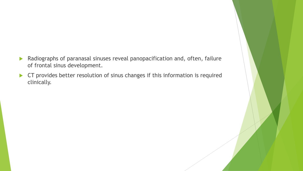- Radiographs of paranasal sinuses reveal panopacification and, often, failure of frontal sinus development.
- CT provides better resolution of sinus changes if this information is required clinically.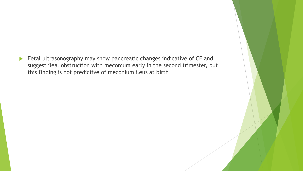Fetal ultrasonography may show pancreatic changes indicative of CF and suggest ileal obstruction with meconium early in the second trimester, but this finding is not predictive of meconium ileus at birth

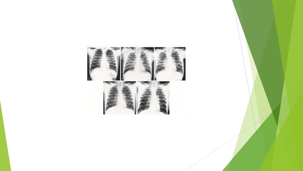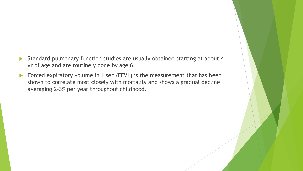- Standard pulmonary function studies are usually obtained starting at about 4 yr of age and are routinely done by age 6.
- Forced expiratory volume in 1 sec (FEV1) is the measurement that has been shown to correlate most closely with mortality and shows a gradual decline averaging 2–3% per year throughout childhood.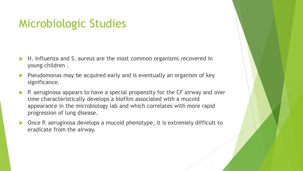# Microbiologic Studies

- H. influenza and S. aureus are the most common organisms recovered in young children .
- Pseudomonas may be acquired early and is eventually an organism of key significance.
- ▶ P. aeruginosa appears to have a special propensity for the CF airway and over time characteristically develops a biofilm associated with a mucoid appearance in the microbiology lab and which correlates with more rapid progression of lung disease.
- Once P. aeruginosa develops a mucoid phenotype, it is extremely difficult to eradicate from the airway.